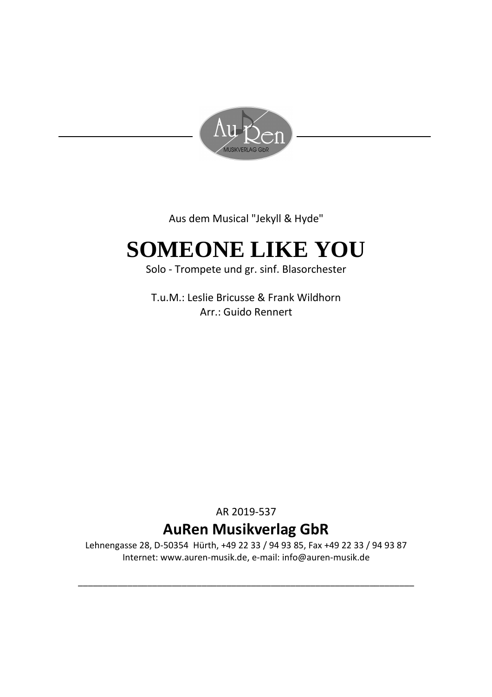

Aus dem Musical "Jekyll & Hyde"

## **SOMEONE LIKE YOU**

Solo - Trompete und gr. sinf. Blasorchester

T.u.M.: Leslie Bricusse & Frank Wildhorn Arr.: Guido Rennert

AR 2019-537

### **AuRen Musikverlag GbR**

Lehnengasse 28, D-50354 Hürth, +49 22 33 / 94 93 85, Fax +49 22 33 / 94 93 87 Internet: www.auren-musik.de, e-mail: info@auren-musik.de

\_\_\_\_\_\_\_\_\_\_\_\_\_\_\_\_\_\_\_\_\_\_\_\_\_\_\_\_\_\_\_\_\_\_\_\_\_\_\_\_\_\_\_\_\_\_\_\_\_\_\_\_\_\_\_\_\_\_\_\_\_\_\_\_\_\_\_\_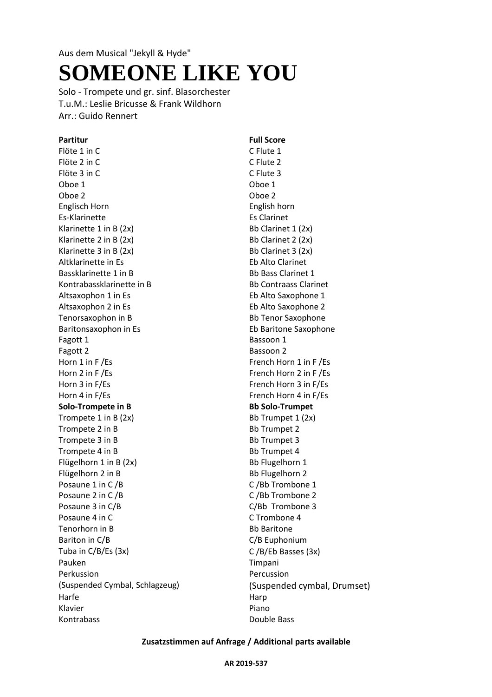# **SOMEONE LIKE YOU**

Solo - Trompete und gr. sinf. Blasorchester T.u.M.: Leslie Bricusse & Frank Wildhorn Arr.: Guido Rennert

Flöte 1 in C C Flute 1 Flöte 2 in C<br>
C Flute 2 Flöte 3 in C<br>
C Flute 3 Oboe 1 Oboe 1 Oboe 2 Oboe 2 Englisch Horn English horn Es-Klarinette Es Clarinet Klarinette 1 in B  $(2x)$  Bb Clarinet 1  $(2x)$ Klarinette 2 in B  $(2x)$  Bb Clarinet 2  $(2x)$ Klarinette 3 in B  $(2x)$  Bb Clarinet 3  $(2x)$ Altklarinette in Es **Eb Alto Clarinet** Bassklarinette 1 in B<br>Bb Bass Clarinet 1 Kontrabassklarinette in B<br>Bb Contraass Clarinet Altsaxophon 1 in Es extending the Saxophone 1 Altsaxophon 2 in Es extending the Saxophone 2 Tenorsaxophon in B<br>Bb Tenor Saxophone Baritonsaxophon in Es **Eb Baritone Saxophone** Fagott 1 Bassoon 1 Fagott 2 Bassoon 2 Horn 1 in F /Es French Horn 1 in F /Es Horn 2 in F /Es French Horn 2 in F /Es Horn 3 in F/Es French Horn 3 in F/Es Horn 4 in F/Es French Horn 4 in F/Es **Solo-Trompete in B Bb Solo-Trumpet** Trompete 1 in B  $(2x)$  Bb Trumpet 1  $(2x)$ Trompete 2 in B Bb Trumpet 2 Trompete 3 in B Bb Trumpet 3 Trompete 4 in B Bb Trumpet 4 Flügelhorn 1 in B (2x) Bb Flugelhorn 1 Flügelhorn 2 in B<br>Bb Flugelhorn 2 Posaune 1 in C /B C /B C /Bb Trombone 1 Posaune 2 in C /B C /B C /Bb Trombone 2 Posaune 3 in C/B and C/Bb Trombone 3 Posaune 4 in C C Trombone 4 Tenorhorn in B<br>Bb Baritone Bariton in C/B C/B Euphonium Tuba in C/B/Es (3x) C /B/Eb Basses (3x) Pauken Timpani Perkussion (Suspended Cymbal, Schlagzeug) Harfe Harp Klavier **Piano** Kontrabass **Double Bass** Double Bass

**Partitur Full Score** Percussion (Suspended cymbal, Drumset)

### **Zusatzstimmen auf Anfrage / Additional parts available**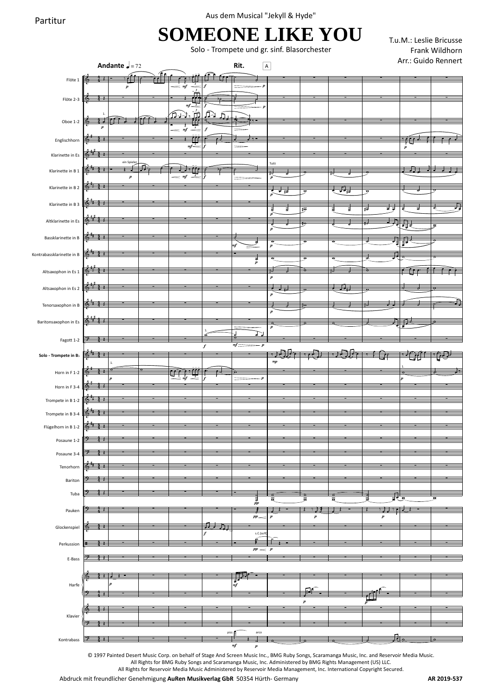Aus dem Musical "Jekyll & Hyde"

### **SOMEONE LIKE YOU**

Solo - Trompete und gr. sinf. Blasorchester

T.u.M.: Leslie Bricusse Frank Wildhorn

|                                        |                    | Andante $\sqrt{ }=72$ |                                                                                                                                                                                                                                                                                                                                                                                                     |                  | Rit.                                                              | $\boxed{A}$                                  |                                       |                          |                                                                                                                                               |                  | Arr.: Guido Rennert     |
|----------------------------------------|--------------------|-----------------------|-----------------------------------------------------------------------------------------------------------------------------------------------------------------------------------------------------------------------------------------------------------------------------------------------------------------------------------------------------------------------------------------------------|------------------|-------------------------------------------------------------------|----------------------------------------------|---------------------------------------|--------------------------|-----------------------------------------------------------------------------------------------------------------------------------------------|------------------|-------------------------|
| Flöte 1                                | ť                  | Ŧ<br>$\boldsymbol{p}$ | $= mf$                                                                                                                                                                                                                                                                                                                                                                                              |                  |                                                                   |                                              |                                       |                          |                                                                                                                                               |                  |                         |
| Flöte 2-3                              |                    |                       | $\frac{1}{\frac{1}{\frac{1}{2}}\frac{1}{\frac{1}{2}}\frac{1}{\frac{1}{2}}\frac{1}{\frac{1}{2}}\frac{1}{\frac{1}{2}}\frac{1}{\frac{1}{2}}\frac{1}{\frac{1}{2}}\frac{1}{\frac{1}{2}}\frac{1}{\frac{1}{2}}\frac{1}{\frac{1}{2}}\frac{1}{\frac{1}{2}}\frac{1}{\frac{1}{2}}\frac{1}{\frac{1}{2}}\frac{1}{\frac{1}{2}}\frac{1}{\frac{1}{2}}\frac{1}{\frac{1}{2}}\frac{1}{\frac{1}{2}}\frac{1}{\frac{1}{2$ |                  |                                                                   |                                              |                                       |                          |                                                                                                                                               |                  |                         |
| Oboe $1-2$                             | l to               |                       | $\begin{picture}(120,110) \put(0,0){\line(1,0){10}} \put(15,0){\line(1,0){10}} \put(15,0){\line(1,0){10}} \put(15,0){\line(1,0){10}} \put(15,0){\line(1,0){10}} \put(15,0){\line(1,0){10}} \put(15,0){\line(1,0){10}} \put(15,0){\line(1,0){10}} \put(15,0){\line(1,0){10}} \put(15,0){\line(1,0){10}} \put(15,0){\line(1,0){10}} \put(15,0){\line$                                                 | <u>ណ</u><br>یرٹر |                                                                   |                                              |                                       |                          |                                                                                                                                               |                  |                         |
| Englischhorn                           |                    |                       | $=$ $\frac{1}{\pi}$<br><u>Tre</u>                                                                                                                                                                                                                                                                                                                                                                   | $\boldsymbol{f}$ |                                                                   |                                              |                                       |                          |                                                                                                                                               |                  |                         |
| Klarinette in Es                       |                    |                       | $mf^3$                                                                                                                                                                                                                                                                                                                                                                                              |                  |                                                                   |                                              |                                       |                          |                                                                                                                                               | $\boldsymbol{p}$ |                         |
| Klarinette in B 1                      |                    | ein Spiele            | م م م د (<br>$\overline{3}$                                                                                                                                                                                                                                                                                                                                                                         |                  |                                                                   | Tutti                                        |                                       |                          |                                                                                                                                               | . .              |                         |
| Klarinette in B 2                      |                    | $\pmb{p}$             | $=$ mf                                                                                                                                                                                                                                                                                                                                                                                              |                  |                                                                   | उ⊤ <sub>‡वं</sub>                            |                                       | ग्रीड                    | ņ                                                                                                                                             |                  |                         |
| Klarinette in B 3                      | る                  |                       |                                                                                                                                                                                                                                                                                                                                                                                                     |                  |                                                                   | ₹                                            | $\sharp \overline{\sigma}$            | ţ<br>날                   | ╔<br>ŧ                                                                                                                                        |                  | 궁.                      |
| Altklarinette in Es                    |                    |                       |                                                                                                                                                                                                                                                                                                                                                                                                     |                  |                                                                   | $\frac{1}{p}$                                | १०                                    |                          |                                                                                                                                               | रेग्रे           |                         |
| Bassklarinette in B                    |                    |                       |                                                                                                                                                                                                                                                                                                                                                                                                     |                  |                                                                   | $\boldsymbol{p}$                             |                                       |                          | ₹                                                                                                                                             |                  | $\overline{\mathbf{e}}$ |
| Kontrabassklarinette in B              |                    |                       |                                                                                                                                                                                                                                                                                                                                                                                                     |                  |                                                                   | $\overline{\sigma}$<br>$\boldsymbol{p}$      | $\overline{\sigma}$                   | $\overline{\sigma}$      | 馬                                                                                                                                             | मृत्यू           |                         |
| Altsaxophon in Es 1                    | 441                |                       |                                                                                                                                                                                                                                                                                                                                                                                                     |                  | र<br>१                                                            |                                              | ज़                                    | Œ                        |                                                                                                                                               |                  |                         |
| Altsaxophon in Es 2                    | in and<br>$^{4-1}$ |                       |                                                                                                                                                                                                                                                                                                                                                                                                     |                  |                                                                   | $\boldsymbol{p}$                             |                                       | $\overline{\phantom{a}}$ |                                                                                                                                               |                  |                         |
|                                        | $x \rightarrow$    |                       |                                                                                                                                                                                                                                                                                                                                                                                                     |                  |                                                                   | $\boldsymbol{p}$                             |                                       |                          |                                                                                                                                               |                  |                         |
| Tenorsaxophon in B                     | →                  |                       |                                                                                                                                                                                                                                                                                                                                                                                                     |                  |                                                                   | $\boldsymbol{p}$                             |                                       |                          |                                                                                                                                               |                  |                         |
| Baritonsaxophon in Es                  |                    |                       |                                                                                                                                                                                                                                                                                                                                                                                                     |                  |                                                                   | $\overline{\mathbf{a}}$<br>$\boldsymbol{p}$  |                                       |                          |                                                                                                                                               |                  |                         |
| Fagott 1-2                             |                    |                       |                                                                                                                                                                                                                                                                                                                                                                                                     | $\boldsymbol{f}$ | $m\hspace{-0.12cm}/\hspace{-0.12cm}f$ $\hspace{-0.12cm}/$<br>$-p$ |                                              |                                       |                          |                                                                                                                                               |                  |                         |
| Solo - Trompete in B                   | $+$                |                       |                                                                                                                                                                                                                                                                                                                                                                                                     |                  |                                                                   | $_{mp}$                                      |                                       |                          |                                                                                                                                               |                  |                         |
| Horn in $F$ 1-2                        | 11                 |                       |                                                                                                                                                                                                                                                                                                                                                                                                     |                  |                                                                   |                                              |                                       |                          |                                                                                                                                               |                  |                         |
| Horn in F 3-4                          |                    |                       |                                                                                                                                                                                                                                                                                                                                                                                                     |                  |                                                                   |                                              |                                       |                          |                                                                                                                                               |                  |                         |
| Trompete in B 1-2<br>Trompete in B 3-4 | $+$                |                       |                                                                                                                                                                                                                                                                                                                                                                                                     |                  |                                                                   |                                              |                                       |                          |                                                                                                                                               |                  |                         |
| Flügelhorn in B 1-2 $\frac{1}{6}$      | $\lambda$<br>J     |                       |                                                                                                                                                                                                                                                                                                                                                                                                     |                  |                                                                   |                                              |                                       |                          |                                                                                                                                               |                  |                         |
| Posaune 1-2                            |                    |                       |                                                                                                                                                                                                                                                                                                                                                                                                     |                  |                                                                   |                                              |                                       |                          |                                                                                                                                               |                  |                         |
| Posaune 3-4                            |                    |                       |                                                                                                                                                                                                                                                                                                                                                                                                     |                  |                                                                   |                                              |                                       |                          |                                                                                                                                               |                  |                         |
| Tenorhorn                              |                    |                       |                                                                                                                                                                                                                                                                                                                                                                                                     |                  |                                                                   |                                              |                                       |                          |                                                                                                                                               |                  |                         |
| Bariton<br>Tuba                        |                    |                       |                                                                                                                                                                                                                                                                                                                                                                                                     |                  |                                                                   |                                              |                                       |                          |                                                                                                                                               |                  |                         |
|                                        |                    |                       |                                                                                                                                                                                                                                                                                                                                                                                                     |                  | $\frac{3}{pp}$                                                    | $\mathbf{\sigma}$<br>$\overline{\mathbf{a}}$ | $\alpha$<br>$\bar{\bullet}$<br>₹<br>ł |                          | 只。<br>$\overline{\phantom{a}}$                                                                                                                |                  |                         |
| Pauken                                 |                    |                       |                                                                                                                                                                                                                                                                                                                                                                                                     | 戸                | $p\hspace{-0.5mm}p$                                               | $\boldsymbol{p}$                             | $\pmb{p}$                             |                          | $\boldsymbol{p}$                                                                                                                              |                  |                         |
| Glockenspiel                           |                    |                       |                                                                                                                                                                                                                                                                                                                                                                                                     |                  | s.C.(soft                                                         |                                              |                                       |                          |                                                                                                                                               |                  |                         |
| Perkussion                             | Ŧ                  |                       |                                                                                                                                                                                                                                                                                                                                                                                                     |                  | $pp \sim p$                                                       |                                              |                                       |                          |                                                                                                                                               |                  |                         |
| E-Bass                                 |                    |                       |                                                                                                                                                                                                                                                                                                                                                                                                     |                  |                                                                   |                                              |                                       |                          |                                                                                                                                               |                  |                         |
| Harfe                                  |                    |                       |                                                                                                                                                                                                                                                                                                                                                                                                     |                  | ₹<br>mf                                                           |                                              |                                       |                          |                                                                                                                                               |                  |                         |
|                                        |                    |                       |                                                                                                                                                                                                                                                                                                                                                                                                     |                  |                                                                   |                                              | $\boldsymbol{p}$                      |                          |                                                                                                                                               |                  |                         |
| Klavier                                |                    |                       |                                                                                                                                                                                                                                                                                                                                                                                                     |                  |                                                                   |                                              |                                       |                          |                                                                                                                                               |                  |                         |
|                                        |                    |                       |                                                                                                                                                                                                                                                                                                                                                                                                     |                  | pizz.<br>$\mathop{\mathsf{arco}}$                                 |                                              |                                       |                          |                                                                                                                                               |                  |                         |
| Kontrabass                             |                    |                       |                                                                                                                                                                                                                                                                                                                                                                                                     |                  | $\it mf$<br>$\pmb{p}$                                             |                                              |                                       |                          | © 1997 Painted Desert Music Corp. on behalf of Stage And Screen Music Inc., BMG Ruby Songs, Scaramanga Music, Inc. and Reservoir Media Music. |                  |                         |
|                                        |                    |                       |                                                                                                                                                                                                                                                                                                                                                                                                     |                  |                                                                   |                                              |                                       |                          |                                                                                                                                               |                  |                         |

All Rights for BMG Ruby Songs and Scaramanga Music, Inc. Administered by BMG Rights Management (US) LLC.

All Rights for Reservoir Media Music Administered by Reservoir Media Management, Inc. International Copyright Secured.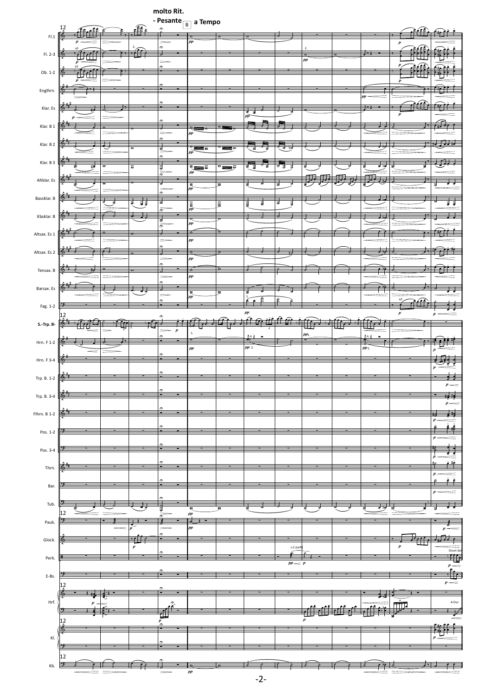|                |                           |                          |                         | molto Rit.          |                           |                          |              |          |                  |                  |                          |                       |
|----------------|---------------------------|--------------------------|-------------------------|---------------------|---------------------------|--------------------------|--------------|----------|------------------|------------------|--------------------------|-----------------------|
|                |                           |                          |                         | - Pesante           | $\overline{B}$ a Tempo    |                          |              |          |                  |                  |                          |                       |
|                | $\frac{12}{15}$           |                          | $\frac{1}{2}$           | $\hat{z}$           |                           |                          |              |          |                  |                  |                          |                       |
| $\mathsf{FL1}$ |                           |                          |                         |                     | ٠<br>pp                   |                          |              |          |                  |                  | $\boldsymbol{p}$         |                       |
|                |                           | $\overline{\phantom{a}}$ | - -                     | $\frac{1}{2}$<br>₹  |                           |                          |              |          |                  |                  |                          |                       |
| $FI. 2-3$      | $\overline{\bullet}$<br>Œ |                          |                         | $=$                 |                           |                          |              |          | $_{\it pp}$      | ₽B               |                          |                       |
|                |                           |                          |                         | ⌒                   |                           |                          |              |          |                  |                  |                          |                       |
| $Ob. 1-2$      | 鍾<br>-€∋                  |                          |                         |                     |                           |                          |              |          |                  |                  |                          |                       |
|                |                           |                          |                         | r,                  |                           |                          |              |          |                  |                  |                          |                       |
| Englhrn.       | $\overline{1}$<br>t.      |                          |                         |                     |                           |                          |              |          |                  | ,                |                          |                       |
|                |                           |                          |                         |                     |                           |                          |              |          |                  | pp               |                          |                       |
| Klar. Es       | Т.                        |                          |                         |                     |                           |                          | ₹            |          |                  |                  | ≘                        |                       |
|                |                           |                          |                         |                     |                           |                          | ΡĨ           |          |                  |                  | $\boldsymbol{p}$         |                       |
| Klar. B 1      | 6                         |                          |                         |                     | ۴                         |                          |              |          |                  |                  | $\rightarrow$            |                       |
|                |                           |                          |                         |                     | pp                        |                          |              |          |                  |                  |                          |                       |
| Klar. B 2      | τ,                        |                          |                         |                     |                           |                          |              |          |                  |                  | Ł                        |                       |
|                |                           |                          | $\overline{\sigma}$     | 할                   | $\frac{\circ}{p p}$<br>W  |                          | 긓            | ਰ ਯ      |                  |                  |                          |                       |
| Klar. B 3      | 6                         |                          |                         | $\hat{ }$           |                           |                          |              |          |                  |                  | ₹                        |                       |
|                | ए                         | $\overline{\sigma}$      | $\overline{\sigma}$     | ∰السالا             | $\sum_{pp}$               | $\overline{\circ}$<br>≣⊽ | Ξ<br>⋣<br>경  | ŧ        |                  | राज्             | ₹                        |                       |
| Altklar. Es    | 氐                         |                          |                         |                     |                           |                          |              |          |                  |                  | ₩                        |                       |
|                | ĩ                         |                          |                         | ₹<br>$\equiv$       | $\frac{\overline{a}}{pp}$ | $\overline{\bullet}$     |              | ₹        |                  |                  |                          | ŧ                     |
|                | 6                         |                          |                         | $\hat{\phantom{a}}$ |                           |                          |              |          |                  |                  | Ł                        |                       |
| Bassklar. B    |                           |                          | ħ<br>ţ.                 | ₹                   | $\frac{\equiv}{\sigma}$   | $\equiv$                 | E<br>₹       | ₹        |                  |                  |                          | Ħ                     |
|                |                           |                          |                         | $\frac{1}{2}$       |                           |                          |              |          |                  |                  |                          |                       |
| Kbsklar. B     | ₩.                        |                          | J.                      | 긓                   | $_{pp}$                   |                          |              |          |                  |                  | Ł                        |                       |
|                |                           |                          |                         | $\frac{1}{2}$       |                           |                          |              |          |                  |                  |                          |                       |
| Altsax. Es 1   | б                         | $\mathbf{\sigma}$        | $\overline{\ }$         | J<br>$=$            | ó<br>$_{pp}$              |                          |              |          |                  |                  | $\overline{\phantom{a}}$ |                       |
|                |                           |                          |                         | ÷                   |                           |                          |              |          |                  |                  |                          |                       |
| Altsax. Es 2   | 6                         | ᢣ                        | $\overline{\mathbf{o}}$ |                     | ÷                         | $\mathbf{\sigma}$        |              |          |                  |                  |                          |                       |
|                |                           |                          |                         | Ξ                   | $_{pp}$                   |                          |              |          |                  |                  |                          |                       |
| Tensax. B      |                           |                          |                         |                     |                           |                          |              |          |                  |                  |                          |                       |
|                |                           |                          |                         | $=$<br>$\hat{ }$    | $_{pp}$                   |                          |              |          |                  |                  |                          |                       |
| Barsax. Es     | 6                         |                          |                         |                     |                           |                          |              |          |                  |                  |                          |                       |
|                |                           |                          |                         |                     | $\frac{1}{pp}$            | इ                        |              |          |                  |                  | a2                       |                       |
| Fag. 1-2       | ᢣ                         |                          |                         | $\hat{ }$           |                           |                          |              |          |                  |                  | ≘                        |                       |
|                | $\frac{12}{6}$            |                          |                         | $\hat{\phantom{a}}$ |                           |                          | $_{pp}$      |          |                  |                  |                          | $\boldsymbol{p}$      |
| $S.-Trp.B$     |                           |                          |                         |                     | €₽                        | ⊫<br>. <u>.</u>          |              |          |                  |                  | ř,                       |                       |
|                |                           |                          |                         |                     | $1\!\!$                   |                          |              |          |                  |                  |                          |                       |
| Hrn. F 1-2     | 6                         |                          |                         |                     |                           |                          | <u>ا تلہ</u> |          | $pp_1$           |                  |                          |                       |
|                |                           |                          |                         |                     |                           |                          |              |          |                  |                  |                          |                       |
|                |                           |                          |                         |                     |                           |                          | $pp$ 2.      |          |                  | $\frac{1}{pp_2}$ |                          |                       |
|                |                           |                          |                         |                     | $_{pp}$                   |                          |              |          |                  |                  |                          |                       |
| Hrn. F 3-4     | ٠                         |                          |                         |                     |                           |                          |              |          |                  |                  |                          |                       |
|                |                           |                          |                         |                     |                           |                          |              |          |                  |                  |                          | 瓔                     |
| Trp. B. 1-2    |                           |                          |                         |                     |                           |                          |              |          |                  |                  |                          | ⋍                     |
|                |                           |                          |                         |                     |                           |                          |              |          |                  |                  |                          | $p\rightleftharpoons$ |
| Trp. B. 3-4    |                           |                          |                         |                     |                           |                          |              |          |                  |                  |                          |                       |
|                |                           |                          |                         |                     |                           |                          |              |          |                  |                  |                          |                       |
| Flhrn. B 1-2   |                           |                          |                         |                     |                           |                          |              |          |                  |                  |                          |                       |
|                |                           |                          |                         |                     |                           |                          |              |          |                  |                  |                          |                       |
| Pos. 1-2       |                           |                          |                         |                     |                           |                          |              |          |                  |                  |                          |                       |
|                |                           |                          |                         |                     |                           |                          |              |          |                  |                  |                          |                       |
| Pos. 3-4       |                           |                          |                         |                     |                           |                          |              |          |                  |                  |                          |                       |
|                |                           |                          |                         |                     |                           |                          |              |          |                  |                  |                          |                       |
|                |                           |                          |                         |                     |                           |                          |              |          |                  |                  |                          |                       |
| Thrn.          |                           |                          |                         |                     |                           |                          |              |          |                  |                  |                          |                       |
|                |                           |                          |                         |                     |                           |                          |              |          |                  |                  |                          |                       |
| Bar.           |                           |                          |                         |                     |                           |                          |              |          |                  |                  |                          |                       |
|                |                           |                          |                         |                     |                           |                          |              |          |                  |                  |                          |                       |
| Tub.           |                           |                          |                         |                     |                           |                          |              |          |                  | र ज              |                          |                       |
|                | 12                        |                          |                         |                     | $_{pp}$                   |                          |              |          |                  |                  |                          |                       |
| Pauk.          |                           |                          |                         |                     |                           |                          |              |          |                  |                  |                          |                       |
|                |                           |                          |                         |                     | pp                        |                          |              |          |                  |                  |                          |                       |
| Glock.         |                           |                          |                         |                     |                           |                          |              |          |                  |                  |                          |                       |
|                |                           |                          | $\boldsymbol{p}$        |                     |                           |                          |              | s.C.(sof |                  |                  |                          |                       |
| Perk.          |                           |                          |                         |                     |                           |                          |              |          |                  |                  |                          | Drum Se               |
|                |                           |                          |                         |                     |                           |                          |              | pp       |                  |                  |                          | $\boldsymbol{p}$ .    |
| E-Bs.          |                           |                          |                         |                     |                           |                          |              |          |                  |                  |                          | 每                     |
|                | 12                        |                          |                         |                     |                           |                          |              |          |                  |                  |                          | $\boldsymbol{p}$ .    |
|                |                           |                          |                         |                     |                           |                          |              |          |                  |                  |                          |                       |
| Hrf.           |                           |                          |                         |                     |                           |                          |              |          |                  |                  |                          | A-Dur                 |
|                |                           |                          |                         |                     |                           |                          |              |          |                  |                  | TITT.                    |                       |
|                |                           |                          |                         |                     |                           |                          |              |          | $\boldsymbol{p}$ |                  |                          |                       |
|                | $\frac{12}{6}$            |                          |                         |                     |                           |                          |              |          |                  |                  |                          |                       |
|                |                           |                          |                         |                     |                           |                          |              |          |                  |                  |                          |                       |
| KI.            |                           |                          |                         |                     |                           |                          |              |          |                  |                  |                          |                       |
|                | ⋺                         |                          |                         |                     |                           |                          |              |          |                  |                  |                          |                       |
|                | 12                        |                          |                         |                     |                           |                          |              |          |                  |                  |                          |                       |
| Kb.            | 匡                         |                          |                         |                     | $_{pp}$                   |                          |              |          |                  |                  |                          |                       |

-2-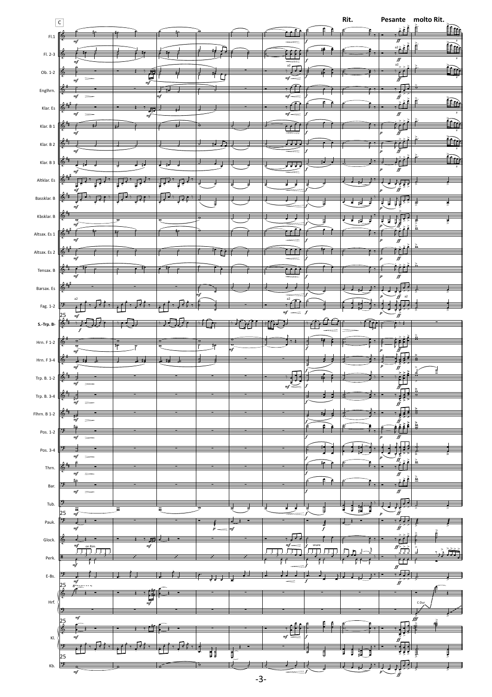|                                  | $\overline{c}$                                                      |                      |             |    |            |         |                                   |                  |                  | Rit.             |                                                                                               | Pesante molto Rit.<br>$\sum_{n=1}^{\infty} \hat{f}_n^2$ |
|----------------------------------|---------------------------------------------------------------------|----------------------|-------------|----|------------|---------|-----------------------------------|------------------|------------------|------------------|-----------------------------------------------------------------------------------------------|---------------------------------------------------------|
|                                  | ♣                                                                   |                      |             |    |            |         |                                   |                  |                  |                  |                                                                                               | 鉅                                                       |
| $\mathsf{FL1}$                   |                                                                     |                      |             |    |            |         |                                   |                  |                  |                  | ∬                                                                                             |                                                         |
| Fl. 2-3                          | 65                                                                  |                      |             |    | ┍          |         | 靊                                 |                  | ₩₿               |                  | $a2 \geq$                                                                                     | Ê<br>ÊÊA                                                |
|                                  |                                                                     |                      |             |    |            |         |                                   |                  |                  |                  | $\overline{f}$<br>$\overline{f}$<br>$\overline{f}$                                            |                                                         |
| $Ob. 1-2$                        |                                                                     |                      |             |    |            |         | $\frac{1}{\sqrt[3]{\frac{1}{2}}}$ |                  |                  |                  | ₫                                                                                             |                                                         |
|                                  |                                                                     |                      | 雪           |    | Ц          |         | m f                               |                  |                  |                  | ĪĨ                                                                                            |                                                         |
| Englhrn.                         |                                                                     |                      |             | πf |            |         | $m f -$                           |                  |                  |                  | $\hat{\hat{y}}$                                                                               |                                                         |
| Klar. Es                         | ta.                                                                 |                      |             |    |            |         |                                   |                  |                  |                  |                                                                                               | è<br>鉅                                                  |
|                                  |                                                                     |                      | 井           |    |            |         | $\it mf$ —                        |                  |                  |                  | ff                                                                                            |                                                         |
| Klar. B 1                        | 6,                                                                  |                      |             |    |            |         | ட்                                |                  |                  |                  | ٢f                                                                                            |                                                         |
|                                  |                                                                     |                      |             |    |            |         |                                   |                  |                  |                  | $\bar{r}$                                                                                     |                                                         |
| Klar. B 2                        | €                                                                   |                      |             |    |            |         | Л,                                | Ė.               |                  |                  | ∯                                                                                             |                                                         |
| Klar. B $3$                      | 险                                                                   |                      |             |    |            |         |                                   |                  |                  |                  |                                                                                               |                                                         |
|                                  |                                                                     |                      |             |    |            |         | म्र                               |                  |                  |                  | $f\hspace{-0.1cm}f$                                                                           |                                                         |
| Altklar. Es                      |                                                                     |                      |             |    |            |         | z                                 |                  |                  |                  |                                                                                               |                                                         |
|                                  |                                                                     |                      |             |    |            |         |                                   |                  |                  |                  | $\frac{1}{\hat{y}}$                                                                           |                                                         |
| Bassklar. B                      |                                                                     |                      |             |    |            |         |                                   |                  |                  | ₹<br>廷           | 菲<br>₹                                                                                        | γø.                                                     |
|                                  |                                                                     |                      |             |    |            |         |                                   |                  |                  |                  |                                                                                               |                                                         |
| Kbsklar. B                       | 廗                                                                   |                      |             |    |            |         |                                   |                  |                  | ₽                | $\exists \vec{f}$<br>₹                                                                        | <b>TRA Ad</b>                                           |
| Altsax. Es 1                     | 6                                                                   |                      |             |    |            |         |                                   |                  |                  |                  |                                                                                               |                                                         |
|                                  |                                                                     |                      |             |    |            |         |                                   |                  |                  |                  | ff                                                                                            |                                                         |
| Altsax. Es 2                     | 6                                                                   |                      |             |    |            |         | $\cdot$ rr                        |                  |                  |                  |                                                                                               |                                                         |
|                                  |                                                                     |                      |             |    |            |         |                                   |                  |                  |                  | ℋ                                                                                             |                                                         |
| Tensax. B                        |                                                                     |                      |             |    |            |         | $\cdot$ $\cdot$                   |                  |                  |                  | $f\hspace{-0.1cm}f$                                                                           |                                                         |
| Barsax. Es                       |                                                                     |                      |             |    |            |         |                                   |                  |                  |                  |                                                                                               |                                                         |
|                                  |                                                                     |                      |             |    |            |         | a2                                |                  |                  |                  | a2                                                                                            |                                                         |
| Fag. 1-2                         |                                                                     |                      |             |    |            |         |                                   |                  |                  |                  |                                                                                               |                                                         |
|                                  | $\frac{25}{4}$                                                      |                      |             |    |            |         | mf                                | $\boldsymbol{f}$ |                  |                  | ġ                                                                                             |                                                         |
| $S.-\mathsf{Trp.}\,B\flat$       |                                                                     |                      |             |    |            |         |                                   |                  |                  |                  |                                                                                               |                                                         |
| Hrn. $F$ 1-2                     | ۵                                                                   | $\overline{\bullet}$ |             |    |            |         |                                   |                  |                  |                  |                                                                                               |                                                         |
|                                  |                                                                     | ₱                    |             |    |            | mf      |                                   |                  |                  |                  | ff <sub>.</sub>                                                                               |                                                         |
| Hrn. F 3-4                       | 唪                                                                   |                      |             | 一。 |            |         |                                   |                  |                  |                  | Ē                                                                                             |                                                         |
|                                  |                                                                     |                      |             |    |            |         |                                   |                  |                  |                  | $\hat{\hat{f}}$                                                                               |                                                         |
| Trp. B. 1-2                      | 6<br>$m$ f                                                          |                      |             |    |            |         |                                   |                  |                  |                  | ť                                                                                             |                                                         |
| Trp. B. 3-4                      |                                                                     |                      |             |    |            |         |                                   |                  |                  |                  | ≝                                                                                             |                                                         |
|                                  |                                                                     |                      |             |    |            |         |                                   |                  |                  |                  | $\frac{1}{f}$                                                                                 |                                                         |
| Flhrn. B 1-2                     |                                                                     |                      |             |    |            |         |                                   |                  |                  |                  | 毎                                                                                             |                                                         |
|                                  |                                                                     |                      |             |    |            |         |                                   |                  | e                |                  | $\frac{1}{x}$                                                                                 | $\mathbf{\underline{\overset{\textbf{>}}{a}}}$          |
| Pos. 1-2                         |                                                                     |                      |             |    |            |         |                                   |                  |                  |                  |                                                                                               |                                                         |
|                                  |                                                                     |                      |             |    |            |         |                                   |                  |                  |                  | $\int_{\frac{1}{2}}^{\frac{1}{2}}$                                                            |                                                         |
| Pos. 3-4                         |                                                                     |                      |             |    |            |         |                                   |                  |                  |                  | $\frac{1}{\sqrt{2}}$                                                                          | $\hat{\hat{\mathbf{a}}}$                                |
| Thrn.                            |                                                                     |                      |             |    |            |         |                                   |                  |                  |                  | $\geq$                                                                                        |                                                         |
|                                  |                                                                     |                      |             |    |            |         |                                   |                  | ₽.               |                  | $\begin{array}{c}\n\overline{f} \\ \overline{f} \\ \overline{f} \\ \overline{f}\n\end{array}$ | $\overset{>}{\underline{\bf a}}$                        |
| Bar.                             | m <sub>l</sub>                                                      |                      |             |    |            |         |                                   |                  |                  |                  | $\overline{f}$                                                                                |                                                         |
|                                  |                                                                     |                      |             |    |            |         |                                   |                  |                  |                  |                                                                                               |                                                         |
| Tub.                             | $\overline{\bullet}$<br>25<br>m f                                   |                      |             |    |            |         |                                   |                  | ई                | 貫<br>ţ<br>Ţ<br>₹ | $\frac{\epsilon}{\hat{f}'}$                                                                   |                                                         |
| Pauk.                            |                                                                     |                      |             |    |            |         |                                   |                  |                  |                  |                                                                                               |                                                         |
|                                  | m <sub>j</sub>                                                      |                      |             |    | $\ddot{p}$ | $_{mf}$ |                                   |                  | $\boldsymbol{f}$ |                  | $\widehat{\widehat{H}}$                                                                       |                                                         |
| Glock.                           |                                                                     |                      | $\it mf$    |    |            |         | $\frac{m f}{2}$                   |                  | snare            |                  |                                                                                               |                                                         |
|                                  | on Rim<br>$\overline{1}$<br>F#                                      |                      |             |    |            |         |                                   |                  |                  |                  | $\frac{1}{\sqrt{1}}$                                                                          |                                                         |
| Perk.                            |                                                                     |                      |             |    |            |         |                                   |                  |                  |                  | $\overline{\mathbf{r}}$<br>∬                                                                  |                                                         |
| $\mathsf{E}\text{-}\mathsf{Bs}.$ | ⇒                                                                   |                      |             |    |            |         |                                   |                  |                  |                  | 具                                                                                             |                                                         |
|                                  | $\begin{array}{c} \mathit{mf} \\ \mathit{S}^{va} \end{array}$<br>25 |                      |             |    |            |         |                                   |                  |                  |                  | $\overline{\hat{f}'}$                                                                         |                                                         |
|                                  |                                                                     |                      |             |    |            |         |                                   |                  |                  |                  |                                                                                               |                                                         |
| $\mathsf{Hrf.}$                  |                                                                     |                      | $\sum_{mf}$ |    |            |         |                                   |                  |                  |                  |                                                                                               | C-Dur                                                   |
|                                  | $\it mf$                                                            |                      |             |    |            |         |                                   |                  |                  |                  |                                                                                               | śŷ                                                      |
|                                  | 25                                                                  |                      |             |    |            |         |                                   |                  |                  |                  |                                                                                               |                                                         |
| $\mathsf{Kl}.$                   | mf                                                                  |                      |             |    |            |         | $\it mf$                          |                  |                  |                  | $\vec{\hat{f}}$                                                                               |                                                         |
|                                  |                                                                     |                      |             |    |            |         |                                   |                  |                  | Ħ<br>Ē<br>⋣<br>Ē | Ð<br>इंड्रे                                                                                   |                                                         |
|                                  | 25                                                                  |                      |             |    | ij         | Ē       |                                   |                  | ₹                |                  |                                                                                               |                                                         |
| Kb.                              | 巨<br>$\it mf$                                                       |                      |             |    |            |         |                                   |                  |                  |                  | $\frac{\epsilon}{\hat{J}}$                                                                    |                                                         |
|                                  |                                                                     |                      |             |    |            |         | $-3-$                             |                  |                  |                  |                                                                                               |                                                         |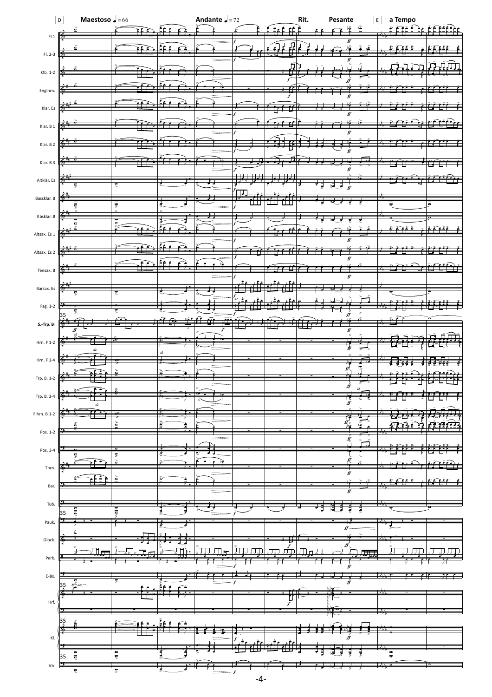|                           | Maestoso $\sqrt{ }$ = 66<br>$\boxed{\mathsf{D}}$ |                           |                          | Andante $J = 72$          |      |                                  | Rit. | Pesante              | $\overline{E}$   | a Tempo                             |                  |
|---------------------------|--------------------------------------------------|---------------------------|--------------------------|---------------------------|------|----------------------------------|------|----------------------|------------------|-------------------------------------|------------------|
| FI.1 $\mathbb{R}$         | ≩                                                |                           |                          |                           |      | €Ê<br>£∈ E                       |      |                      | 憧                | Ē.<br>£.                            |                  |
| $FI. 2-3$                 | т.,                                              | ≧Ê                        | ĒĒ                       |                           |      | Л<br>$\left( \cdot \right)$<br>ł |      |                      |                  | ЕÉ<br>£.<br>÷                       |                  |
| Ob. 1-2                   |                                                  |                           |                          |                           |      |                                  | , ,  |                      |                  |                                     | Щ                |
|                           |                                                  |                           |                          |                           |      |                                  |      |                      |                  |                                     |                  |
| Englhrn.                  |                                                  |                           |                          |                           |      | f                                |      |                      |                  |                                     |                  |
| Klar. Es                  |                                                  |                           |                          |                           |      | $\epsilon$                       |      | ff                   |                  |                                     |                  |
| Klar. B 1                 |                                                  |                           |                          |                           |      |                                  |      | ℋ                    |                  |                                     |                  |
| Klar. B 2                 |                                                  |                           |                          |                           |      |                                  |      |                      |                  |                                     |                  |
| Klar. B 3                 |                                                  |                           |                          |                           |      |                                  |      |                      |                  |                                     |                  |
| Altklar. Es               | 6                                                | ड़                        |                          |                           |      |                                  | ₹    | 뎑<br>ļ               |                  |                                     |                  |
| Bassklar. B               |                                                  |                           | र्                       |                           | ⊥    |                                  |      |                      | इ                |                                     |                  |
| Kbsklar. B                | €                                                | $\frac{1}{2}$             |                          |                           |      |                                  |      |                      |                  |                                     |                  |
| Altsax. Es 1              | 듩                                                | $\frac{1}{2}$             | ድድ                       |                           |      |                                  |      |                      |                  | €                                   | <u>e e e e e</u> |
|                           |                                                  |                           |                          |                           |      |                                  |      | ff                   |                  |                                     |                  |
| Altsax. Es 2              |                                                  |                           | ĒÊ €<br>e                | Ã<br>bè<br>$\epsilon$     |      |                                  |      |                      |                  |                                     |                  |
| Tensax. B                 |                                                  |                           |                          |                           |      |                                  |      | ff                   |                  |                                     |                  |
| Barsax. Es                | ⊕<br>इ                                           | ड्र                       |                          |                           | a2   |                                  |      |                      |                  |                                     |                  |
| Fag. 1-2                  | 35                                               | ष्ट्र                     |                          |                           |      |                                  |      |                      |                  |                                     |                  |
| S.-Trp. $\mathsf{B}\flat$ |                                                  |                           |                          | f                         |      |                                  |      | ∬                    |                  |                                     |                  |
| Hrn. F 1-2                |                                                  |                           |                          |                           |      |                                  |      |                      |                  |                                     |                  |
| Hrn. F 3-4                | a2                                               |                           | a2                       |                           |      |                                  |      |                      |                  |                                     |                  |
| Trp. B. 1-2               | ♠                                                |                           |                          |                           |      |                                  |      | $\overrightarrow{f}$ |                  |                                     |                  |
| Trp. B. 3-4               |                                                  |                           |                          |                           |      |                                  |      | ff                   | a2               |                                     |                  |
| Flhrn. B 1-2              |                                                  | ≖                         |                          |                           |      |                                  |      | ff                   |                  |                                     |                  |
|                           |                                                  | $\frac{\delta}{\epsilon}$ | Ė                        |                           |      |                                  |      | $\frac{f}{f}$        |                  | <u> ਮੂ</u><br>74<br>न               | 7<br>n nin       |
| Pos. 1-2                  |                                                  |                           |                          |                           |      |                                  |      | Ľ                    | $\sum_{i=1}^{n}$ |                                     |                  |
| Pos. 3-4                  |                                                  | $4 \times 4$              |                          | È<br>$\epsilon$<br>扉<br>e |      |                                  |      |                      |                  |                                     |                  |
| Thrn.                     | EÊÊ                                              | $\frac{\geq}{2}$          |                          |                           |      |                                  |      | ff                   |                  |                                     |                  |
| Bar.                      |                                                  |                           | e                        |                           |      |                                  |      | ff                   |                  |                                     |                  |
| Tub.                      | 흥                                                | alla)                     | ₿                        |                           |      |                                  | ₹    | ţ<br>J<br>Ē          | रे               |                                     |                  |
| Pauk.                     | 35<br>⋺                                          |                           |                          |                           |      |                                  |      |                      |                  |                                     |                  |
| Glock.                    | t.                                               |                           |                          |                           |      |                                  |      | ff                   |                  |                                     |                  |
| Perk.                     | Л                                                |                           |                          | Лm                        |      | JJJJ                             | ⊥س⊡  | $f\hspace{-0.1cm}f$  |                  |                                     |                  |
| E-Bs.                     |                                                  |                           |                          |                           |      |                                  |      |                      |                  |                                     | . .              |
|                           | $\frac{1}{\sum_{i=1}^{n} a_i}$<br>$\frac{35}{4}$ |                           | Ê                        |                           |      |                                  |      |                      |                  |                                     |                  |
| Hrf.                      |                                                  |                           |                          |                           |      | $\hat{f}$                        |      |                      |                  |                                     |                  |
|                           | $\frac{35}{4}$                                   |                           |                          |                           |      |                                  |      |                      |                  |                                     |                  |
| KI.                       |                                                  |                           |                          |                           |      |                                  |      |                      |                  |                                     |                  |
|                           |                                                  |                           |                          |                           |      |                                  |      | Ę                    |                  | $\frac{\overline{a}}{\overline{b}}$ |                  |
| Kb.                       | $\frac{1}{2}$<br>35<br>∍                         | $\frac{1}{\sqrt{2}}$      | $\overline{\phantom{a}}$ |                           |      |                                  |      |                      |                  |                                     |                  |
|                           | ड़                                               | ष्ट्र                     |                          |                           | $-4$ |                                  |      |                      |                  |                                     |                  |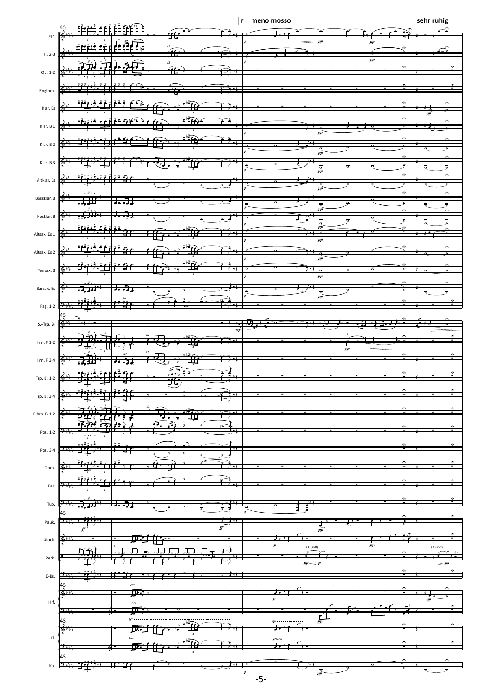**meno mosso**  F

|              | <b>HATT</b><br>45<br>ĒĒĒ<br>ffeet                                     | er.       |                                        |                               | $\mathbf{r}$<br>THEIR HOSSO |                                             |                           |                                             |                      |         |                              | <b>SEIT TUTTE</b>                                          | r.                                         |
|--------------|-----------------------------------------------------------------------|-----------|----------------------------------------|-------------------------------|-----------------------------|---------------------------------------------|---------------------------|---------------------------------------------|----------------------|---------|------------------------------|------------------------------------------------------------|--------------------------------------------|
| ${\sf FI.1}$ | <b>HILLETTE</b><br>$\bullet$                                          | a2        |                                        |                               |                             |                                             |                           | pp                                          |                      | $_{pp}$ |                              |                                                            |                                            |
| Fl. 2-3      | $\frac{3}{2}$                                                         | Â<br>a2   |                                        |                               |                             |                                             |                           |                                             |                      | $_{pp}$ |                              | فانعج                                                      |                                            |
| Ob. 1-2      | $\mathbf{E}(\hat{\mathbf{H}})$<br>$\frac{1}{2}$<br>$\boldsymbol{\Pi}$ | œ         |                                        |                               |                             |                                             |                           |                                             |                      |         | -                            |                                                            | r.                                         |
| Englhrn.     | f                                                                     | ſ,        |                                        |                               |                             |                                             |                           |                                             |                      |         | ×.                           |                                                            | $\hat{ }$                                  |
|              | Ā<br>مغ<br>ففق<br>e                                                   |           |                                        |                               |                             |                                             |                           |                                             |                      |         |                              |                                                            |                                            |
| Klar. Es     |                                                                       | Ű         | $\overline{\mathbf{3}}$                |                               |                             |                                             |                           |                                             |                      |         | ×<br>$\widehat{\phantom{a}}$ | $\overline{1}$ $\overline{1}$ $\overline{1}$<br>$p\bar{p}$ | $\mathbf{r}$                               |
| Klar. B 1    | ēĖ<br>٥e<br>Ð                                                         |           | <u>e în</u><br>$\overline{\mathbf{3}}$ | $\rightarrow$ $\rightarrow$   |                             |                                             | $\rightarrow$             | m                                           |                      |         |                              | $\cdot$ .                                                  |                                            |
| Klar. B 2    | e                                                                     |           | <u>e tro</u>                           | ۴<br>चैक्                     |                             | $\mathbf{r}$                                | T . 2                     |                                             |                      |         |                              |                                                            | ⌒                                          |
|              |                                                                       |           |                                        | $\rightarrow$                 |                             |                                             | جو ا                      | ᢐ<br>$_{pp}$                                |                      |         |                              | $\overline{\sigma}$                                        | $\overline{\sigma}$<br>$\hat{\phantom{a}}$ |
| Klar. B 3    | œ                                                                     |           | Ť                                      |                               |                             |                                             |                           | $\frac{1}{p p}$                             | $\overline{\bullet}$ |         |                              | $\overline{\overline{\sigma}}$                             | $\overline{\sigma}$<br>$\hat{\phantom{a}}$ |
| Altklar. Es  | ٠                                                                     |           |                                        | - 1<br>₹<br>ţ                 |                             | $\mathbf{a}$                                |                           | $\sqrt{\frac{\sigma}{pp}}$                  | ত                    |         | ₹                            | ত্                                                         | $\overline{\mathbf{v}}$                    |
| Bassklar. B  | के मेरे                                                               |           |                                        | ┄                             | ē                           | $\overline{\sigma}$                         | र                         | ₹                                           | $\overline{\bullet}$ |         | ċ<br>ತ                       | ₹                                                          | $\hat{ }$                                  |
| Kbsklar. B   |                                                                       |           |                                        | ≖                             |                             |                                             | $\overline{\mathbb{F}^1}$ | $_{pp}$                                     | $\overline{\bullet}$ |         | c<br>न्न                     |                                                            | $\hat{ }$                                  |
| Altsax. Es 1 | 青青<br>ĒĒ                                                              |           |                                        | ₩                             |                             |                                             |                           | $\frac{1}{\overline{5}}$                    |                      |         |                              | ≠                                                          | $\hat{\phantom{a}}$<br>≂                   |
|              | نفقه<br>€                                                             |           |                                        |                               |                             |                                             |                           | $_{pp}$                                     |                      |         |                              |                                                            | ́                                          |
| Altsax. Es 2 |                                                                       | ╈         |                                        |                               |                             | $\mathbf{\sigma}$                           | $\rightarrow$             | $_{pp}$                                     |                      |         |                              |                                                            | $\mathbf{a}$                               |
| Tensax. B    |                                                                       |           | <u>e Fre</u>                           | $\mathbf{v}_n$                | Ó                           |                                             |                           | $_{\rm PP}$                                 |                      |         |                              |                                                            | $\hat{\phantom{a}}$                        |
| Barsax. Es   |                                                                       |           |                                        | $\rightarrow$                 |                             |                                             |                           |                                             |                      |         |                              | ए                                                          | $\hat{ }$<br>ज                             |
| Fag. 1-2     | a2<br><u>.</u>                                                        |           |                                        |                               |                             |                                             |                           | $\sqrt{\frac{\sigma}{pp}}$                  |                      |         |                              |                                                            | $\hat{ }$                                  |
|              | 45<br>$\rightarrow$                                                   |           |                                        |                               | ۰.                          |                                             |                           |                                             |                      |         |                              |                                                            |                                            |
| S.-Trp. B    | п                                                                     |           |                                        | $_{mp}$                       |                             |                                             |                           |                                             |                      |         |                              |                                                            | $\hat{ }$                                  |
| Hrn. F 1-2   | a2                                                                    |           |                                        |                               |                             |                                             |                           |                                             | ∸<br>$_{pp}$         |         |                              |                                                            |                                            |
| Hrn. F 3-4   | f.                                                                    | ×         |                                        | - 7                           |                             |                                             |                           |                                             |                      |         | $\overline{\phantom{a}}$     |                                                            | $\hat{ }$                                  |
| Trp. B. 1-2  | ēĖ<br>ta,                                                             | ńл<br>TÙ, | ั่∃่ว่                                 | √⊸่                           |                             |                                             |                           |                                             |                      |         |                              |                                                            | $\hat{ }$                                  |
| Trp. B. 3-4  | F 7 T<br>$\left  \omega \right\rangle$<br>ਦਿ                          |           |                                        |                               |                             |                                             |                           |                                             |                      |         |                              |                                                            |                                            |
|              |                                                                       | ਵਾ⊅       |                                        |                               |                             |                                             |                           |                                             |                      |         |                              |                                                            | $\hat{\phantom{a}}$                        |
| Flhrn. B 1-2 | ⊫⊄e<br>垆                                                              | ΩΓ<br>ते  | فبأأ                                   |                               |                             |                                             |                           |                                             |                      |         |                              |                                                            | $\hat{ }$                                  |
| Pos. 1-2     |                                                                       |           |                                        |                               |                             |                                             |                           |                                             | ×                    |         |                              |                                                            | Ξ                                          |
| Pos. 3-4     | i a                                                                   |           |                                        | त्र<br>ā                      |                             |                                             |                           |                                             |                      |         | $\overline{\phantom{a}}$     |                                                            | c                                          |
| Thrn.        | ta.                                                                   |           |                                        |                               |                             |                                             |                           |                                             |                      |         | ×                            |                                                            | c                                          |
| Bar.         | <b>EFACAA</b><br>Ā<br>ēē                                              |           |                                        | P<br>$\overline{\phantom{a}}$ |                             |                                             |                           |                                             |                      |         |                              |                                                            | r.                                         |
|              |                                                                       |           |                                        | ચ                             |                             |                                             |                           |                                             |                      |         | ÷                            |                                                            |                                            |
| Tub.         | ┄<br>寿<br>Þ<br>45<br><u>.</u>                                         |           |                                        | ┪                             |                             |                                             | 글                         |                                             |                      |         | $\hat{ }$                    |                                                            |                                            |
| Pauk.        | ソー<br>$\mathbb{H}^{n}$<br>$\overline{f}$                              |           |                                        | के रहे<br>$f\hspace{-0.1cm}f$ |                             |                                             |                           | ⊣<br>$\overline{\overline{\overline{r}^p}}$ | ∓                    |         |                              |                                                            |                                            |
| Glock.       | 耳<br>ю,                                                               |           |                                        |                               |                             | $\cdot$ $\cdot$ $\cdot$<br>$\boldsymbol{p}$ | $\overline{\phantom{a}}$  |                                             |                      | $_{pp}$ |                              |                                                            |                                            |
| Perk.        | ЛŤ<br>E.<br>нŀ                                                        | Л<br>IJIJ | Лд<br>厅                                | ื่า−)                         |                             |                                             | s.C.(soft                 |                                             |                      |         |                              | s.C.(soft                                                  |                                            |
| E-Bs.        | $\rightarrow$<br>rfft 1                                               |           |                                        |                               |                             |                                             | $pp \sim p$               |                                             |                      |         |                              |                                                            | $\leq$ PP                                  |
|              | 45<br>$8^{\mathrm{m}\times\text{-}\times\text{-}\times\text{-}}$<br>戶 |           |                                        |                               |                             |                                             |                           |                                             |                      |         | ₹                            |                                                            |                                            |
| Hrf.         | Т6-<br>$\mathsf{loco}\,$                                              |           |                                        |                               |                             | ł                                           |                           |                                             |                      |         |                              | $\boldsymbol{pp}$                                          |                                            |
|              | D.,<br>₩<br>$8^{\circ}$<br>45                                         |           |                                        |                               |                             | 8 <sup>10</sup>                             |                           | 計                                           |                      |         |                              |                                                            |                                            |
|              | ≵<br>₩                                                                |           | 往任                                     |                               |                             | $\cdot$ $\cdot$ $\cdot$                     |                           |                                             |                      |         |                              |                                                            |                                            |
| KI.          | loco<br>╩<br>▜█▟                                                      |           | ≝≏                                     |                               |                             | $p_{\, \rm loc}$                            |                           |                                             |                      |         |                              |                                                            |                                            |
| Kb.          | 45<br>"''<br>$\mathcal{P}$                                            |           |                                        | ÷                             |                             |                                             |                           |                                             |                      |         |                              |                                                            |                                            |
|              |                                                                       |           |                                        |                               | $\pmb{p}$<br>$-5-$          |                                             |                           | $\frac{\sigma}{pp}$                         |                      |         |                              |                                                            |                                            |